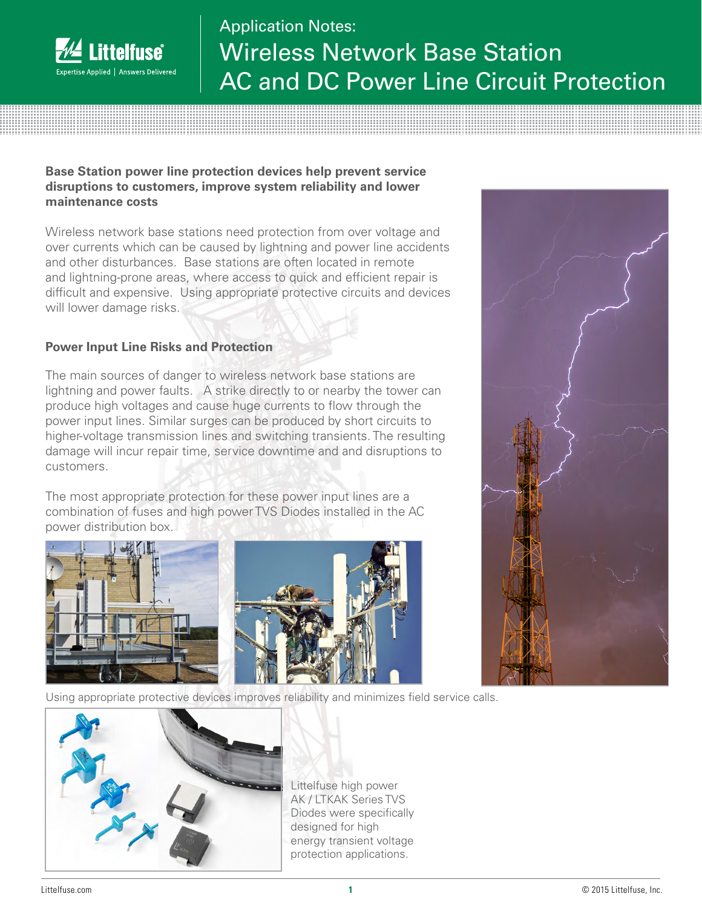

# Application Notes: Wireless Network Base Station AC and DC Power Line Circuit Protection

#### **Base Station power line protection devices help prevent service disruptions to customers, improve system reliability and lower maintenance costs**

Wireless network base stations need protection from over voltage and over currents which can be caused by lightning and power line accidents and other disturbances. Base stations are often located in remote and lightning-prone areas, where access to quick and efficient repair is difficult and expensive. Using appropriate protective circuits and devices will lower damage risks.

### **Power Input Line Risks and Protection**

The main sources of danger to wireless network base stations are lightning and power faults. A strike directly to or nearby the tower can produce high voltages and cause huge currents to flow through the power input lines. Similar surges can be produced by short circuits to higher-voltage transmission lines and switching transients. The resulting damage will incur repair time, service downtime and and disruptions to customers.

The most appropriate protection for these power input lines are a combination of fuses and high power TVS Diodes installed in the AC power distribution box.



Using appropriate protective devices improves reliability and minimizes field service calls.





Littelfuse high power AK / LTKAK Series TVS Diodes were specifically designed for high energy transient voltage protection applications.